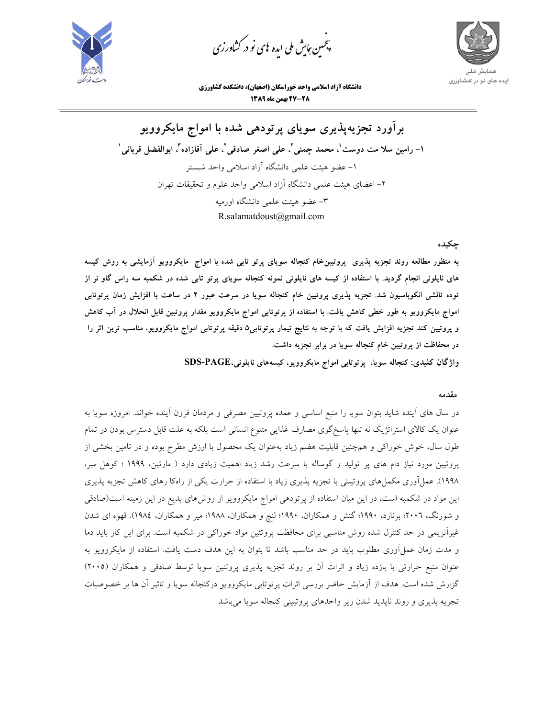

.<br>چمین *جایش ملی* ایده <sup>ب</sup>ای نو در کشا*ورزی* ൕह



**دانشگاه آزاد اسلامي واحد خوراسگان (اصفهان)، دانشكده كشاورزي -28 27 بهمن ماه 1389** 

**برآورد تجزيهپذيري سوياي پرتودهي شده با امواج مايكروويو**  ١– رامين سلا مت دوست ٰ. محمد چمنى ْ، على اصغر صادقى ْ، على آقازاده ّ. ابوالفضل قربانى ٰ -1 عضو هيئت علمي دانشگاه آزاد اسلامي واحد شبستر -2 اعضاي هيئت علمي دانشگاه آزاد اسلامي واحد علوم و تحقيقات تهران -3 عضو هيئت علمي دانشگاه اورميه R.salamatdoust@gmail.com

### **چكيده**

به منظور مطالعه روند تجزیه پذیری پروتیین خام کنجاله سویای پرتو تابی شده با امواج مایکروویو آزمایشی به روش کیسه های نایلونی انجام گردید. با استفاده از کیسه های نایلونی نمونه کنجاله سویای پرتو تابی شده در شکمبه سه راس گاو نر از توده تالشی انکوباسیون شد. تجزیه پذیری پروتیین خام کنجاله سویا در سرعت عبور ۲ در ساعت با افزایش زمان پرتوتابی امواج مایکروویو به طور خطی کاهش یافت. با استفاده از پرتوتابی امواج مایکروویو مقدار پروتیین قابل انحلال در آب کاهش و پروتیین کند تجزیه افزایش یافت که با توجه به نتایج تیمار پرتوتابی۵ دقیقه پرتوتابی امواج مایکروویو، مناسب ترین اثر را **در محفاظت از پروتيين خام كنجاله سويا در برابر تجزيه داشت.** 

**واژگان كليدي: كنجاله سويا، پرتوتابي امواج مايكروويو، كيسههاي نايلوني،PAGE-SDS** 

#### **مقدمه**

در سال هاي آينده شايد بتوان سويا را منبع اساسي و عمده پروتيين مصرفي و مردمان قرون آينده خواند. امروزه سويا به عنوان يك كالاي استراتژيك نه تنها پاسخگوي مصارف غذايي متنوع انساني است بلكه به علت قابل دسترس بودن در تمام طول سال، خوش خوراكي و همچنين قابليت هضم زياد بهعنوان يك محصول با ارزش مطرح بوده و در تامين بخشي از پروتيين مورد نياز دام هاي پر توليد و گوساله با سرعت رشد زياد اهميت زيادي دارد ( مارتين، 1999 ؛ كوهل مير، 1998). عملآوري مكملهاي پروتييني با تجزيه پذيري زياد با استفاده از حرارت يكي از راهكا رهاي كاهش تجزيه پذيري اين مواد در شكمبه است، در اين ميان استفاده از پرتودهي امواج مايكروويو از روشهاي بديع در اين زمينه است(صادقي و شورنگ، 2006؛ برنارد، 1990؛ گنش و همكاران، 1990؛ لنچ و همكاران، 1988؛ مير و همكاران، 1984). قهوه اي شدن غيرآنزيمي در حد كنترل شده روش مناسبي براي محافظت پروتئين مواد خوراكي در شكمبه است. براي اين كار بايد دما و مدت زمان عملآوري مطلوب بايد در حد مناسب باشد تا بتوان به اين هدف دست يافت. استفاده از مايكروويو به عنوان منبع حرارتي با بازده زياد و اثرات آن بر روند تجزيه پذيري پروتئين سويا توسط صادقي و همكاران (2005) گزارش شده است. هدف از آزمايش حاضر بررسي اثرات پرتوتابي مايكروويو دركنجاله سويا و تاثير آن ها بر خصوصيات تجزيه پذيري و روند ناپديد شدن زير واحدهاي پروتييني كنجاله سويا ميباشد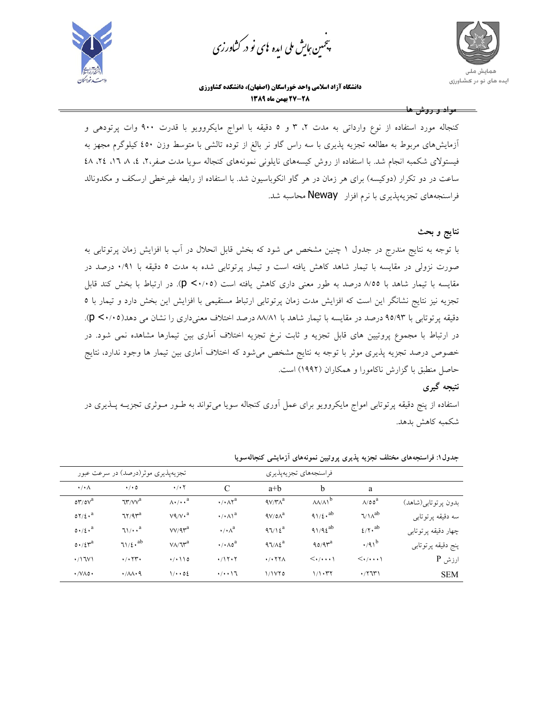

.<br>چمین *جایش ملی* ایده <sup>ب</sup>ای نو در کشا*ورزی* ൕह



**دانشگاه آزاد اسلامي واحد خوراسگان (اصفهان)، دانشكده كشاورزي -28 27 بهمن ماه 1389** 

**مواد و روش ها** 

كنجاله مورد استفاده از نوع وارداتي به مدت ۲، ۳ و ٥ دقيقه با امواج مايكروويو با قدرت ۹۰۰ وات پرتودهي و آزمايشهاي مربوط به مطالعه تجزيه پذيري با سه راس گاو نر بالغ از توده تالشي با متوسط وزن 450 كيلوگرم مجهز به فيستولاي شكمبه انجام شد. با استفاده از روش كيسههاي نايلوني نمونههاي كنجاله سويا مدت صفر،2، ،4 ،8 ،16 ،24 48 ساعت در دو تكرار (دوكيسه) براي هر زمان در هر گاو انكوباسيون شد. با استفاده از رابطه غيرخطي ارسكف و مكدونالد فراسنجههاي تجزيهپذيري با نرم افزار Neway محاسبه شد.

**نتايج و بحث** 

با توجه به نتايج مندرج در جدول 1 چنين مشخص مي شود كه بخش قابل انحلال در آب با افزايش زمان پرتوتابي به صورت نزولي در مقايسه با تيمار شاهد كاهش يافته است و تيمار پرتوتابي شده به مدت 5 دقيقه با 0/91 درصد در مقايسه با تيمار شاهد با 8/55 درصد به طور معني داري كاهش يافته است (0/05> p(. در ارتباط با بخش كند قابل تجزيه نيز نتايج نشانگر اين است كه افزايش مدت زمان پرتوتابي ارتباط مستقيمي با افزايش اين بخش دارد و تيمار با 5 دقيقه پرتوتابي با 95/93 درصد در مقايسه با تيمار شاهد با 88/81 درصد اختلاف معنيداري را نشان مي دهد(0/05> p(. در ارتباط با مجموع پروتيين هاي قابل تجزيه و ثابت نرخ تجزيه اختلاف آماري بين تيمارها مشاهده نمي شود. در خصوص درصد تجزيه پذيري موثر با توجه به نتايج مشخص ميشود كه اختلاف آماري بين تيمار ها وجود ندارد، نتايج حاصل منطبق با گزارش ناكامورا و همكاران (1992) است.

#### **نتيجه گيري**

استفاده از پنج دقيقه پرتوتابي امواج مايكروويو براي عمل آوري كنجاله سويا ميتواند به طـور مـوثري تجزيـه پـذيري در شكمبه كاهش بدهد.

|                                           | تجزیهپذیری موثر(درصد) در سرعت عبور                      |                                 |                                                    | فراسنجەهاي تجزيەپذيرى        |                                                         |                                       |                     |
|-------------------------------------------|---------------------------------------------------------|---------------------------------|----------------------------------------------------|------------------------------|---------------------------------------------------------|---------------------------------------|---------------------|
| $\cdot/\cdot \wedge$                      | $\cdot$ / $\cdot$ 0                                     | $\cdot$ / $\cdot$ $\cdot$       | $\mathcal{C}$                                      | $a+b$                        | b                                                       | a                                     |                     |
| $\delta r / \delta v^a$                   | $\mathcal{U}^{\prime\prime}/\mathcal{V}^{\prime\prime}$ | $\Lambda \cdot / \cdot \cdot^a$ | $\cdot$ / $\cdot$ $\wedge$ $\uparrow$ <sup>a</sup> | $4V/\mathsf{r}\wedge^a$      | $\mathsf{A}\mathsf{A}\mathsf{A}\mathsf{A}^{\mathsf{b}}$ | $\Lambda$ /00 <sup>a</sup>            | بدون پرتوتابي(شاهد) |
| $07/2 \cdot a$                            | $77/9r^a$                                               | $V4/V \cdot a$                  | $\cdot$ / $\cdot$ $\wedge$ $\wedge$ <sup>a</sup>   | $\left(\sqrt{a}\right)^a$    | $91/2 \cdot ab$                                         | $\sqrt{\lambda^{ab}}$                 | سه دقیقه پرتوتابی   |
| $0.12$ . <sup>a</sup>                     | $71/x^a$                                                | $VV/9r^a$                       | $\cdot/\cdot \wedge^a$                             | $97/12^a$                    | $91/9\xi^{ab}$                                          | $\ell/\Upsilon \cdot$ <sup>ab</sup>   | چهار دقیقه پرتوتابی |
| $0.12r^a$                                 | $71/2 \cdot ab$                                         | $V/\sqrt{V^a}$                  | $\cdot$ / $\cdot$ $\wedge$ $\circ$ <sup>a</sup>    | $97/A\epsilon^a$             | $90/9r^a$                                               | $\cdot$ /91 <sup>b</sup>              | پنج دقیقه پرتوتابی  |
| $\cdot$ /\JV\                             | $\cdot$ / $\cdot$ $\tau$ r.                             | (1)                             | $\cdot$ /1۲۰۲                                      | $\cdot$ / $\cdot$ $\tau\tau$ | $\langle\cdot/\cdot\cdot\cdot\rangle$                   | $\langle\cdot/\cdot\cdot\cdot\rangle$ | $P$ ارزش            |
| $\cdot$ / $\vee$ $\wedge$ $\circ$ $\cdot$ | $\cdot$ / $\Lambda\Lambda\cdot$ 9                       | 1/4.02                          | $\cdot/\cdot\cdot$ \ $\mathcal{L}$                 | 1/150                        | 1/1.77                                                  | $\cdot$ / $\uparrow$                  | <b>SEM</b>          |

**جدول:1 فراسنجههاي مختلف تجزيه پذيري پروتيين نمونههاي آزمايشي كنجالهسويا**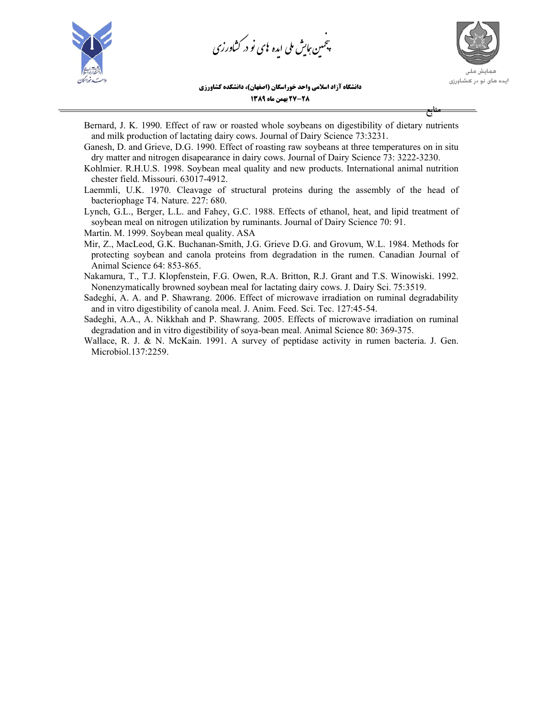

.<br>چمین *جایش ملی* ایده <sup>ب</sup>ای نو در کشا*ورزی* ൕह

ایده های نو در کشاورزی

**منابع** 

**دانشگاه آزاد اسلامي واحد خوراسگان (اصفهان)، دانشكده كشاورزي**

**-28 27 بهمن ماه 1389** 

Bernard, J. K. 1990. Effect of raw or roasted whole soybeans on digestibility of dietary nutrients and milk production of lactating dairy cows. Journal of Dairy Science 73:3231.

Ganesh, D. and Grieve, D.G. 1990. Effect of roasting raw soybeans at three temperatures on in situ dry matter and nitrogen disapearance in dairy cows. Journal of Dairy Science 73: 3222-3230.

- Kohlmier. R.H.U.S. 1998. Soybean meal quality and new products. International animal nutrition chester field. Missouri. 63017-4912.
- Laemmli, U.K. 1970. Cleavage of structural proteins during the assembly of the head of bacteriophage T4. Nature. 227: 680.

Lynch, G.L., Berger, L.L. and Fahey, G.C. 1988. Effects of ethanol, heat, and lipid treatment of soybean meal on nitrogen utilization by ruminants. Journal of Dairy Science 70: 91. Martin. M. 1999. Soybean meal quality. ASA

Mir, Z., MacLeod, G.K. Buchanan-Smith, J.G. Grieve D.G. and Grovum, W.L. 1984. Methods for protecting soybean and canola proteins from degradation in the rumen. Canadian Journal of Animal Science 64: 853-865.

Nakamura, T., T.J. Klopfenstein, F.G. Owen, R.A. Britton, R.J. Grant and T.S. Winowiski. 1992. Nonenzymatically browned soybean meal for lactating dairy cows. J. Dairy Sci. 75:3519.

Sadeghi, A. A. and P. Shawrang. 2006. Effect of microwave irradiation on ruminal degradability and in vitro digestibility of canola meal. J. Anim. Feed. Sci. Tec. 127:45-54.

Sadeghi, A.A., A. Nikkhah and P. Shawrang. 2005. Effects of microwave irradiation on ruminal degradation and in vitro digestibility of soya-bean meal. Animal Science 80: 369-375.

Wallace, R. J. & N. McKain. 1991. A survey of peptidase activity in rumen bacteria. J. Gen. Microbiol.137:2259.